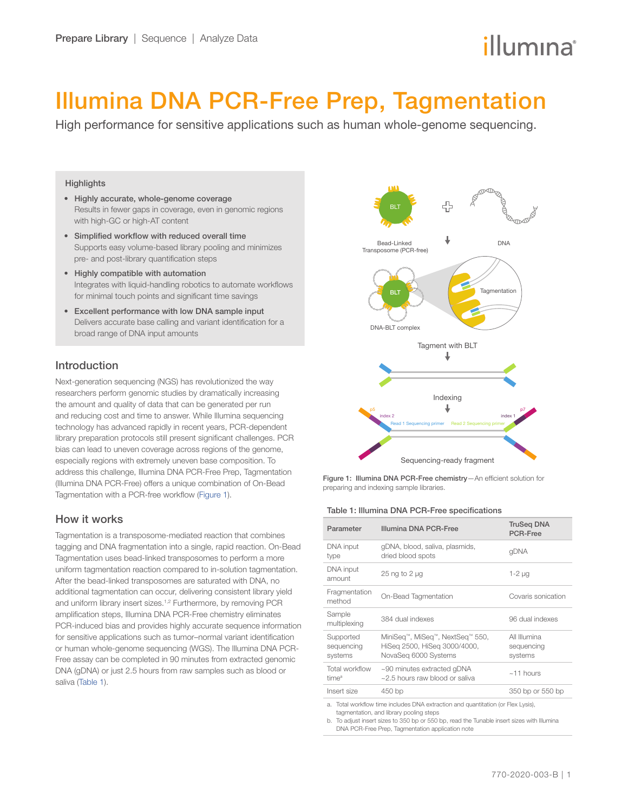# illumına

## <span id="page-0-0"></span>Illumina DNA PCR-Free Prep, Tagmentation

High performance for sensitive applications such as human whole-genome sequencing.

#### **Highlights**

- Highly accurate, whole-genome coverage Results in fewer gaps in coverage, even in genomic regions with high-GC or high-AT content
- Simplified workflow with reduced overall time Supports easy volume-based library pooling and minimizes pre- and post-library quantification steps
- Highly compatible with automation Integrates with liquid-handling robotics to automate workflows for minimal touch points and significant time savings
- Excellent performance with low DNA sample input Delivers accurate base calling and variant identification for a broad range of DNA input amounts

### Introduction

Next-generation sequencing (NGS) has revolutionized the way researchers perform genomic studies by dramatically increasing the amount and quality of data that can be generated per run and reducing cost and time to answer. While Illumina sequencing technology has advanced rapidly in recent years, PCR-dependent library preparation protocols still present significant challenges. PCR bias can lead to uneven coverage across regions of the genome, especially regions with extremely uneven base composition. To address this challenge, Illumina DNA PCR-Free Prep, Tagmentation (Illumina DNA PCR-Free) offers a unique combination of On-Bead Tagmentation with a PCR-free workflow (Figure 1).

### How it works

Tagmentation is a transposome-mediated reaction that combines tagging and DNA fragmentation into a single, rapid reaction. On-Bead Tagmentation uses bead-linked transposomes to perform a more uniform tagmentation reaction compared to in-solution tagmentation. After the bead-linked transposomes are saturated with DNA, no additional tagmentation can occur, delivering consistent library yield and uniform library insert sizes.<sup>1,[2](#page-3-1)</sup> Furthermore, by removing PCR amplification steps, Illumina DNA PCR-Free chemistry eliminates PCR-induced bias and provides highly accurate sequence information for sensitive applications such as tumor–normal variant identification or human whole-genome sequencing (WGS). The Illumina DNA PCR-Free assay can be completed in 90 minutes from extracted genomic DNA (gDNA) or just 2.5 hours from raw samples such as blood or saliva (Table 1).



Figure 1: Illumina DNA PCR-Free chemistry—An efficient solution for preparing and indexing sample libraries.

#### Table 1: Illumina DNA PCR-Free specifications

| Parameter                                                                        | Illumina DNA PCR-Free                                                                   | <b>TruSeg DNA</b><br><b>PCR-Free</b>  |  |  |  |
|----------------------------------------------------------------------------------|-----------------------------------------------------------------------------------------|---------------------------------------|--|--|--|
| DNA input<br>type                                                                | gDNA, blood, saliva, plasmids,<br>dried blood spots                                     | qDNA                                  |  |  |  |
| DNA input<br>amount                                                              | 25 ng to 2 µg                                                                           | $1-2 \mu$ g                           |  |  |  |
| Fragmentation<br>method                                                          | On-Bead Tagmentation                                                                    | Covaris sonication                    |  |  |  |
| Sample<br>multiplexing                                                           | 384 dual indexes                                                                        | 96 dual indexes                       |  |  |  |
| Supported<br>sequencing<br>systems                                               | MiniSeq™, MiSeq™, NextSeq™ 550,<br>HiSeg 2500, HiSeg 3000/4000,<br>NovaSeg 6000 Systems | All Illumina<br>sequencing<br>systems |  |  |  |
| Total workflow<br>time <sup>a</sup>                                              | $\sim$ 90 minutes extracted gDNA<br>$\approx$ 2.5 hours raw blood or saliva             | $~11$ hours                           |  |  |  |
| Insert size                                                                      | 450 bp                                                                                  | 350 bp or 550 bp                      |  |  |  |
| a. Total workflow time includes DNA extraction and quantitation (or Flex Lysis), |                                                                                         |                                       |  |  |  |

tagmentation, and library pooling steps

b. To adjust insert sizes to 350 bp or 550 bp, read the Tunable insert sizes with Illumina DNA PCR-Free Prep, Tagmentation application note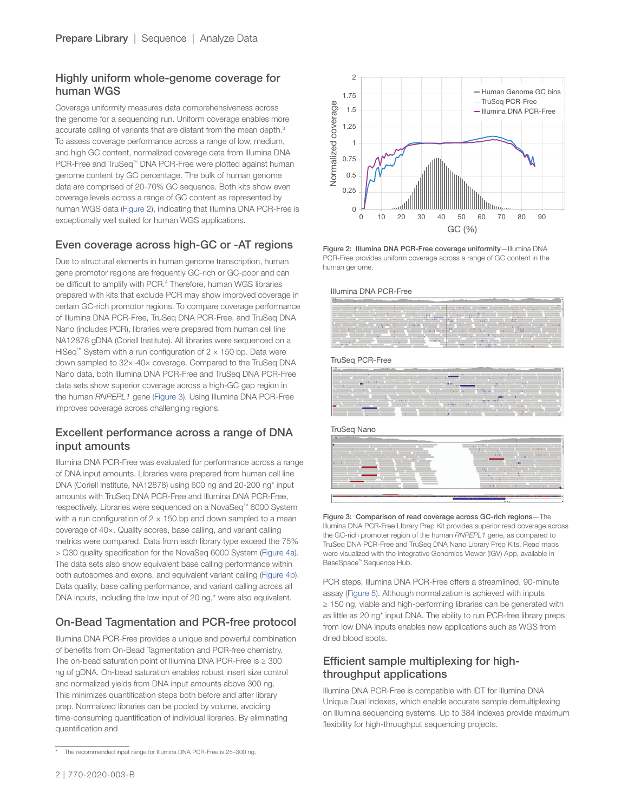## Highly uniform whole-genome coverage for human WGS

Coverage uniformity measures data comprehensiveness across the genome for a sequencing run. Uniform coverage enables more accurate calling of variants that are distant from the mean depth.[3](#page-3-2) To assess coverage performance across a range of low, medium, and high GC content, normalized coverage data from Illumina DNA PCR-Free and TruSeq™ DNA PCR-Free were plotted against human genome content by GC percentage. The bulk of human genome data are comprised of 20-70% GC sequence. Both kits show even coverage levels across a range of GC content as represented by human WGS data ([Figure](#page-0-0) 2), indicating that Illumina DNA PCR-Free is exceptionally well suited for human WGS applications.

## Even coverage across high-GC or -AT regions

Due to structural elements in human genome transcription, human gene promotor regions are frequently GC-rich or GC-poor and can be difficult to amplify with PCR.<sup>[4](#page-3-3)</sup> Therefore, human WGS libraries prepared with kits that exclude PCR may show improved coverage in certain GC-rich promotor regions. To compare coverage performance of Illumina DNA PCR-Free, TruSeq DNA PCR-Free, and TruSeq DNA Nano (includes PCR), libraries were prepared from human cell line NA12878 gDNA (Coriell Institute). All libraries were sequenced on a HiSeq™ System with a run configuration of  $2 \times 150$  bp. Data were down sampled to 32×-40× coverage. Compared to the TruSeq DNA Nano data, both Illumina DNA PCR-Free and TruSeq DNA PCR-Free data sets show superior coverage across a high-GC gap region in the human *RNPEPL1* gene (Figure 3). Using Illumina DNA PCR-Free improves coverage across challenging regions.

## Excellent performance across a range of DNA input amounts

Illumina DNA PCR-Free was evaluated for performance across a range of DNA input amounts. Libraries were prepared from human cell line DNA (Coriell Institute, NA12878) using 600 ng and 20-200 ng\* input amounts with TruSeq DNA PCR-Free and Illumina DNA PCR-Free, respectively. Libraries were sequenced on a NovaSeq™ 6000 System with a run configuration of  $2 \times 150$  bp and down sampled to a mean coverage of 40×. Quality scores, base calling, and variant calling metrics were compared. Data from each library type exceed the 75% > Q30 quality specification for the NovaSeq 6000 System (Figure 4a). The data sets also show equivalent base calling performance within both autosomes and exons, and equivalent variant calling (Figure 4b). Data quality, base calling performance, and variant calling across all DNA inputs, including the low input of 20 ng,\* were also equivalent.

## On-Bead Tagmentation and PCR-free protocol

Illumina DNA PCR-Free provides a unique and powerful combination of benefits from On-Bead Tagmentation and PCR-free chemistry. The on-bead saturation point of Illumina DNA PCR-Free is ≥ 300 ng of gDNA. On-bead saturation enables robust insert size control and normalized yields from DNA input amounts above 300 ng. This minimizes quantification steps both before and after library prep. Normalized libraries can be pooled by volume, avoiding time-consuming quantification of individual libraries. By eliminating quantification and





Figure 2: Illumina DNA PCR-Free coverage uniformity—Illumina DNA PCR-Free provides uniform coverage across a range of GC content in the human genome.





TruSeq PCR-Free



TruSeq Nano



Figure 3: Comparison of read coverage across GC-rich regions—The Illumina DNA PCR-Free LIbrary Prep Kit provides superior read coverage across the GC-rich promoter region of the human *RNPEPL1* gene, as compared to TruSeq DNA PCR-Free and TruSeq DNA Nano Library Prep Kits. Read maps were visualized with the Integrative Genomics Viewer (IGV) App, available in BaseSpace™ Sequence Hub.

PCR steps, Illumina DNA PCR-Free offers a streamlined, 90-minute assay ([Figure 5\)](#page-2-0). Although normalization is achieved with inputs ≥ 150 ng, viable and high-performing libraries can be generated with as little as 20 ng\* input DNA. The ability to run PCR-free library preps from low DNA inputs enables new applications such as WGS from dried blood spots.

## Efficient sample multiplexing for highthroughput applications

Illumina DNA PCR-Free is compatible with IDT for Illumina DNA Unique Dual Indexes, which enable accurate sample demultiplexing on Illumina sequencing systems. Up to 384 indexes provide maximum flexibility for high-throughput sequencing projects.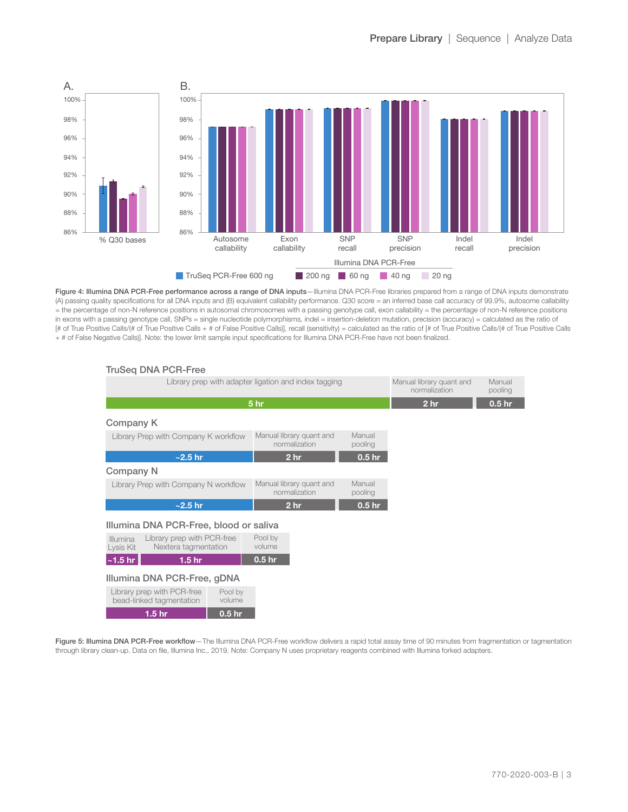<span id="page-2-0"></span>

Figure 4: Illumina DNA PCR-Free performance across a range of DNA inputs—Illumina DNA PCR-Free libraries prepared from a range of DNA inputs demonstrate (A) passing quality specifications for all DNA inputs and (B) equivalent callability performance. Q30 score = an inferred base call accuracy of 99.9%, autosome callability = the percentage of non-N reference positions in autosomal chromosomes with a passing genotype call, exon callability = the percentage of non-N reference positions in exons with a passing genotype call, SNPs = single nucleotide polymorphisms, indel = insertion-deletion mutation, precision (accuracy) = calculated as the ratio of [# of True Positive Calls/(# of True Positive Calls + # of False Positive Calls)], recall (sensitivity) = calculated as the ratio of [# of True Positive Calls/(# of True Positive Calls + # of False Negative Calls)]. Note: the lower limit sample input specifications for Illumina DNA PCR-Free have not been finalized.

| <b>TruSeg DNA PCR-Free</b>                                                  |                                                                |                   |                 |                   |
|-----------------------------------------------------------------------------|----------------------------------------------------------------|-------------------|-----------------|-------------------|
| Library prep with adapter ligation and index tagging                        | Manual library quant and<br>normalization                      | Manual<br>pooling |                 |                   |
| 5 <sub>hr</sub>                                                             |                                                                |                   | 2 <sub>hr</sub> | 0.5 <sub>hr</sub> |
| Company K                                                                   |                                                                |                   |                 |                   |
| Library Prep with Company K workflow                                        | Manual library quant and<br>normalization                      | Manual<br>pooling |                 |                   |
| $\sim$ 2.5 hr                                                               | 2 <sub>hr</sub>                                                | 0.5 <sub>hr</sub> |                 |                   |
| <b>Company N</b>                                                            |                                                                |                   |                 |                   |
| Library Prep with Company N workflow                                        | Manual<br>Manual library quant and<br>normalization<br>pooling |                   |                 |                   |
| $\sim$ 2.5 hr                                                               | 2 <sub>hr</sub>                                                | 0.5 <sub>hr</sub> |                 |                   |
| Illumina DNA PCR-Free, blood or saliva                                      |                                                                |                   |                 |                   |
| Illumina<br>Library prep with PCR-free<br>Lysis Kit<br>Nextera tagmentation | Pool by<br>volume                                              |                   |                 |                   |
| $\sim$ 1.5 hr<br>1.5 <sub>hr</sub>                                          | 0.5 <sub>hr</sub>                                              |                   |                 |                   |
| Illumina DNA PCR-Free, gDNA                                                 |                                                                |                   |                 |                   |
| Library prep with PCR-free<br>Pool by<br>bead-linked tagmentation<br>volume |                                                                |                   |                 |                   |
| 1.5 <sub>hr</sub><br>0.5 <sub>hr</sub>                                      |                                                                |                   |                 |                   |

Figure 5: Illumina DNA PCR-Free workflow-The Illumina DNA PCR-Free workflow delivers a rapid total assay time of 90 minutes from fragmentation or tagmentation through library clean-up. Data on file, Illumina Inc., 2019. Note: Company N uses proprietary reagents combined with Illumina forked adapters.